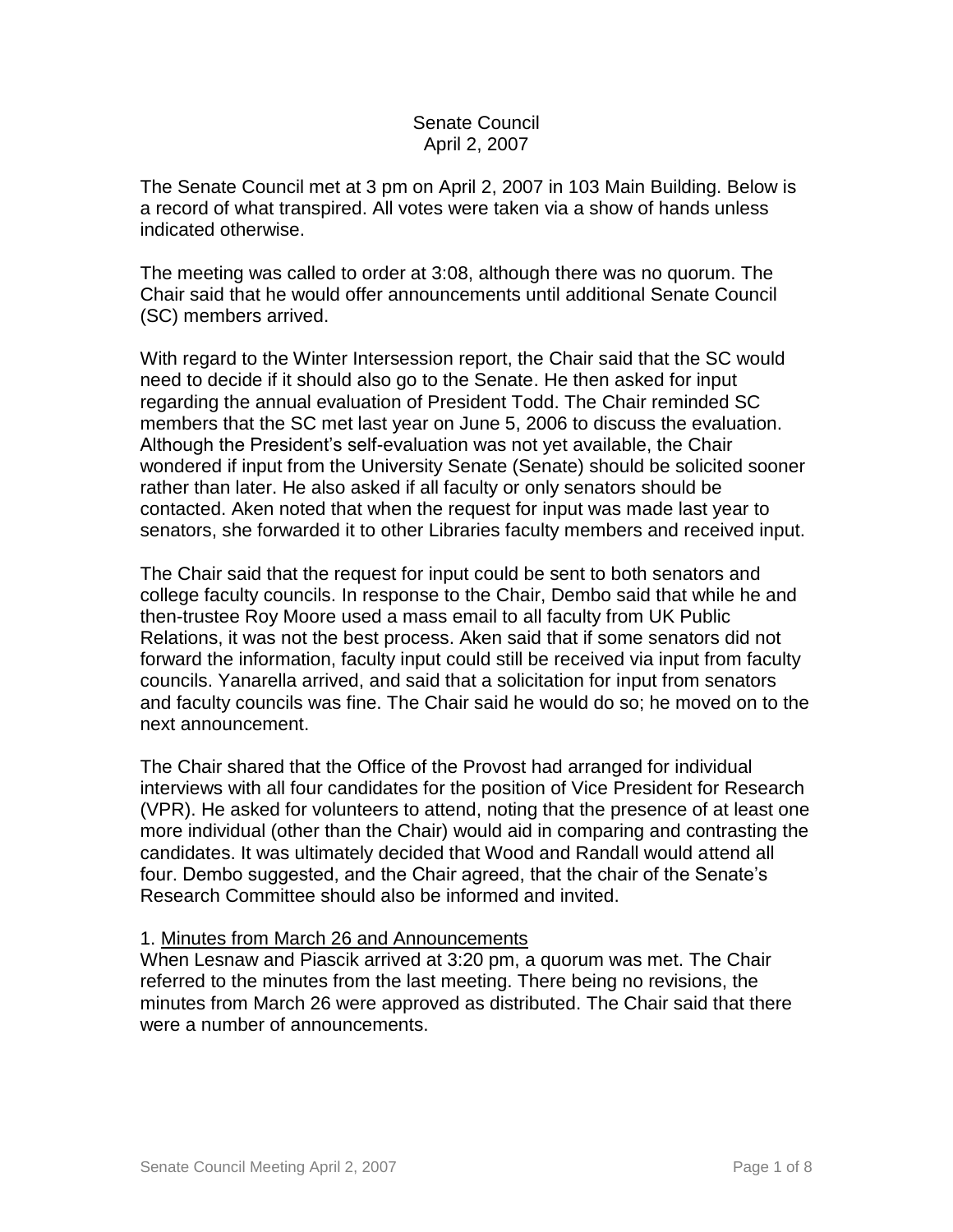## Senate Council April 2, 2007

The Senate Council met at 3 pm on April 2, 2007 in 103 Main Building. Below is a record of what transpired. All votes were taken via a show of hands unless indicated otherwise.

The meeting was called to order at 3:08, although there was no quorum. The Chair said that he would offer announcements until additional Senate Council (SC) members arrived.

With regard to the Winter Intersession report, the Chair said that the SC would need to decide if it should also go to the Senate. He then asked for input regarding the annual evaluation of President Todd. The Chair reminded SC members that the SC met last year on June 5, 2006 to discuss the evaluation. Although the President's self-evaluation was not yet available, the Chair wondered if input from the University Senate (Senate) should be solicited sooner rather than later. He also asked if all faculty or only senators should be contacted. Aken noted that when the request for input was made last year to senators, she forwarded it to other Libraries faculty members and received input.

The Chair said that the request for input could be sent to both senators and college faculty councils. In response to the Chair, Dembo said that while he and then-trustee Roy Moore used a mass email to all faculty from UK Public Relations, it was not the best process. Aken said that if some senators did not forward the information, faculty input could still be received via input from faculty councils. Yanarella arrived, and said that a solicitation for input from senators and faculty councils was fine. The Chair said he would do so; he moved on to the next announcement.

The Chair shared that the Office of the Provost had arranged for individual interviews with all four candidates for the position of Vice President for Research (VPR). He asked for volunteers to attend, noting that the presence of at least one more individual (other than the Chair) would aid in comparing and contrasting the candidates. It was ultimately decided that Wood and Randall would attend all four. Dembo suggested, and the Chair agreed, that the chair of the Senate's Research Committee should also be informed and invited.

#### 1. Minutes from March 26 and Announcements

When Lesnaw and Piascik arrived at 3:20 pm, a quorum was met. The Chair referred to the minutes from the last meeting. There being no revisions, the minutes from March 26 were approved as distributed. The Chair said that there were a number of announcements.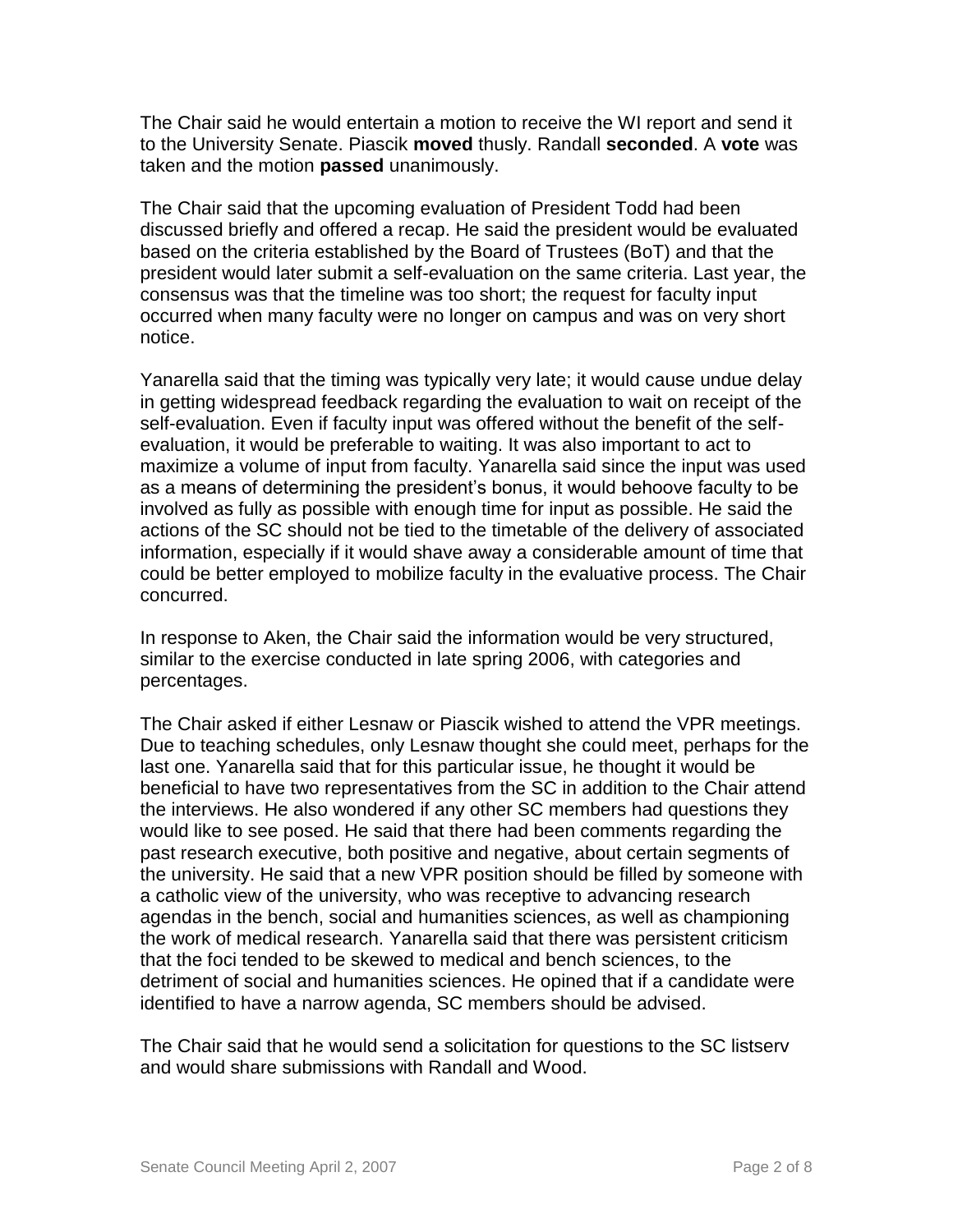The Chair said he would entertain a motion to receive the WI report and send it to the University Senate. Piascik **moved** thusly. Randall **seconded**. A **vote** was taken and the motion **passed** unanimously.

The Chair said that the upcoming evaluation of President Todd had been discussed briefly and offered a recap. He said the president would be evaluated based on the criteria established by the Board of Trustees (BoT) and that the president would later submit a self-evaluation on the same criteria. Last year, the consensus was that the timeline was too short; the request for faculty input occurred when many faculty were no longer on campus and was on very short notice.

Yanarella said that the timing was typically very late; it would cause undue delay in getting widespread feedback regarding the evaluation to wait on receipt of the self-evaluation. Even if faculty input was offered without the benefit of the selfevaluation, it would be preferable to waiting. It was also important to act to maximize a volume of input from faculty. Yanarella said since the input was used as a means of determining the president's bonus, it would behoove faculty to be involved as fully as possible with enough time for input as possible. He said the actions of the SC should not be tied to the timetable of the delivery of associated information, especially if it would shave away a considerable amount of time that could be better employed to mobilize faculty in the evaluative process. The Chair concurred.

In response to Aken, the Chair said the information would be very structured, similar to the exercise conducted in late spring 2006, with categories and percentages.

The Chair asked if either Lesnaw or Piascik wished to attend the VPR meetings. Due to teaching schedules, only Lesnaw thought she could meet, perhaps for the last one. Yanarella said that for this particular issue, he thought it would be beneficial to have two representatives from the SC in addition to the Chair attend the interviews. He also wondered if any other SC members had questions they would like to see posed. He said that there had been comments regarding the past research executive, both positive and negative, about certain segments of the university. He said that a new VPR position should be filled by someone with a catholic view of the university, who was receptive to advancing research agendas in the bench, social and humanities sciences, as well as championing the work of medical research. Yanarella said that there was persistent criticism that the foci tended to be skewed to medical and bench sciences, to the detriment of social and humanities sciences. He opined that if a candidate were identified to have a narrow agenda, SC members should be advised.

The Chair said that he would send a solicitation for questions to the SC listserv and would share submissions with Randall and Wood.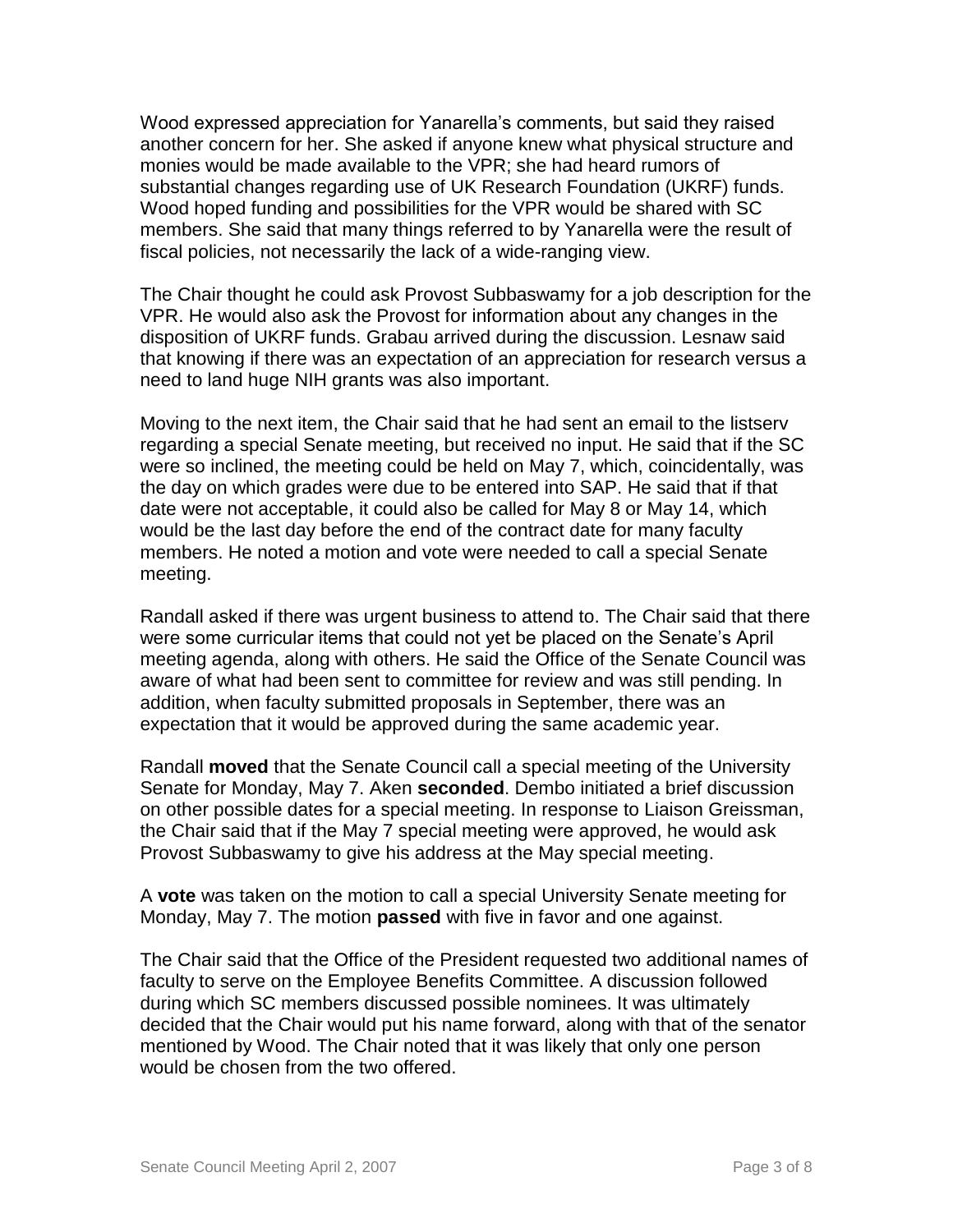Wood expressed appreciation for Yanarella's comments, but said they raised another concern for her. She asked if anyone knew what physical structure and monies would be made available to the VPR; she had heard rumors of substantial changes regarding use of UK Research Foundation (UKRF) funds. Wood hoped funding and possibilities for the VPR would be shared with SC members. She said that many things referred to by Yanarella were the result of fiscal policies, not necessarily the lack of a wide-ranging view.

The Chair thought he could ask Provost Subbaswamy for a job description for the VPR. He would also ask the Provost for information about any changes in the disposition of UKRF funds. Grabau arrived during the discussion. Lesnaw said that knowing if there was an expectation of an appreciation for research versus a need to land huge NIH grants was also important.

Moving to the next item, the Chair said that he had sent an email to the listserv regarding a special Senate meeting, but received no input. He said that if the SC were so inclined, the meeting could be held on May 7, which, coincidentally, was the day on which grades were due to be entered into SAP. He said that if that date were not acceptable, it could also be called for May 8 or May 14, which would be the last day before the end of the contract date for many faculty members. He noted a motion and vote were needed to call a special Senate meeting.

Randall asked if there was urgent business to attend to. The Chair said that there were some curricular items that could not yet be placed on the Senate's April meeting agenda, along with others. He said the Office of the Senate Council was aware of what had been sent to committee for review and was still pending. In addition, when faculty submitted proposals in September, there was an expectation that it would be approved during the same academic year.

Randall **moved** that the Senate Council call a special meeting of the University Senate for Monday, May 7. Aken **seconded**. Dembo initiated a brief discussion on other possible dates for a special meeting. In response to Liaison Greissman, the Chair said that if the May 7 special meeting were approved, he would ask Provost Subbaswamy to give his address at the May special meeting.

A **vote** was taken on the motion to call a special University Senate meeting for Monday, May 7. The motion **passed** with five in favor and one against.

The Chair said that the Office of the President requested two additional names of faculty to serve on the Employee Benefits Committee. A discussion followed during which SC members discussed possible nominees. It was ultimately decided that the Chair would put his name forward, along with that of the senator mentioned by Wood. The Chair noted that it was likely that only one person would be chosen from the two offered.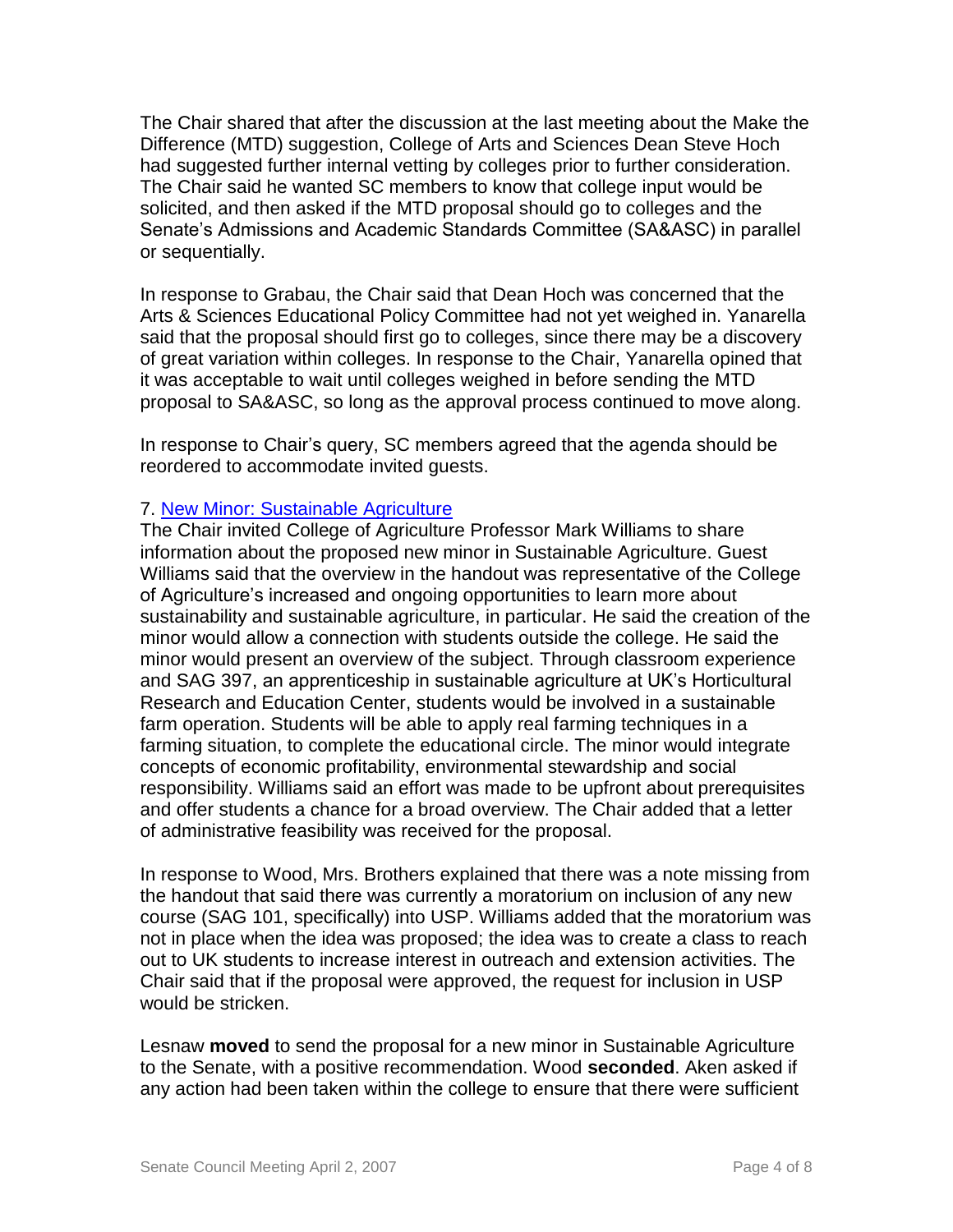The Chair shared that after the discussion at the last meeting about the Make the Difference (MTD) suggestion, College of Arts and Sciences Dean Steve Hoch had suggested further internal vetting by colleges prior to further consideration. The Chair said he wanted SC members to know that college input would be solicited, and then asked if the MTD proposal should go to colleges and the Senate's Admissions and Academic Standards Committee (SA&ASC) in parallel or sequentially.

In response to Grabau, the Chair said that Dean Hoch was concerned that the Arts & Sciences Educational Policy Committee had not yet weighed in. Yanarella said that the proposal should first go to colleges, since there may be a discovery of great variation within colleges. In response to the Chair, Yanarella opined that it was acceptable to wait until colleges weighed in before sending the MTD proposal to SA&ASC, so long as the approval process continued to move along.

In response to Chair's query, SC members agreed that the agenda should be reordered to accommodate invited guests.

## 7. [New Minor: Sustainable Agriculture](http://www.uky.edu/USC/New/files/20070402/Sustainable%20Agr%20Minor%20-%20New%20Program_Complete.pdf)

The Chair invited College of Agriculture Professor Mark Williams to share information about the proposed new minor in Sustainable Agriculture. Guest Williams said that the overview in the handout was representative of the College of Agriculture's increased and ongoing opportunities to learn more about sustainability and sustainable agriculture, in particular. He said the creation of the minor would allow a connection with students outside the college. He said the minor would present an overview of the subject. Through classroom experience and SAG 397, an apprenticeship in sustainable agriculture at UK's Horticultural Research and Education Center, students would be involved in a sustainable farm operation. Students will be able to apply real farming techniques in a farming situation, to complete the educational circle. The minor would integrate concepts of economic profitability, environmental stewardship and social responsibility. Williams said an effort was made to be upfront about prerequisites and offer students a chance for a broad overview. The Chair added that a letter of administrative feasibility was received for the proposal.

In response to Wood, Mrs. Brothers explained that there was a note missing from the handout that said there was currently a moratorium on inclusion of any new course (SAG 101, specifically) into USP. Williams added that the moratorium was not in place when the idea was proposed; the idea was to create a class to reach out to UK students to increase interest in outreach and extension activities. The Chair said that if the proposal were approved, the request for inclusion in USP would be stricken.

Lesnaw **moved** to send the proposal for a new minor in Sustainable Agriculture to the Senate, with a positive recommendation. Wood **seconded**. Aken asked if any action had been taken within the college to ensure that there were sufficient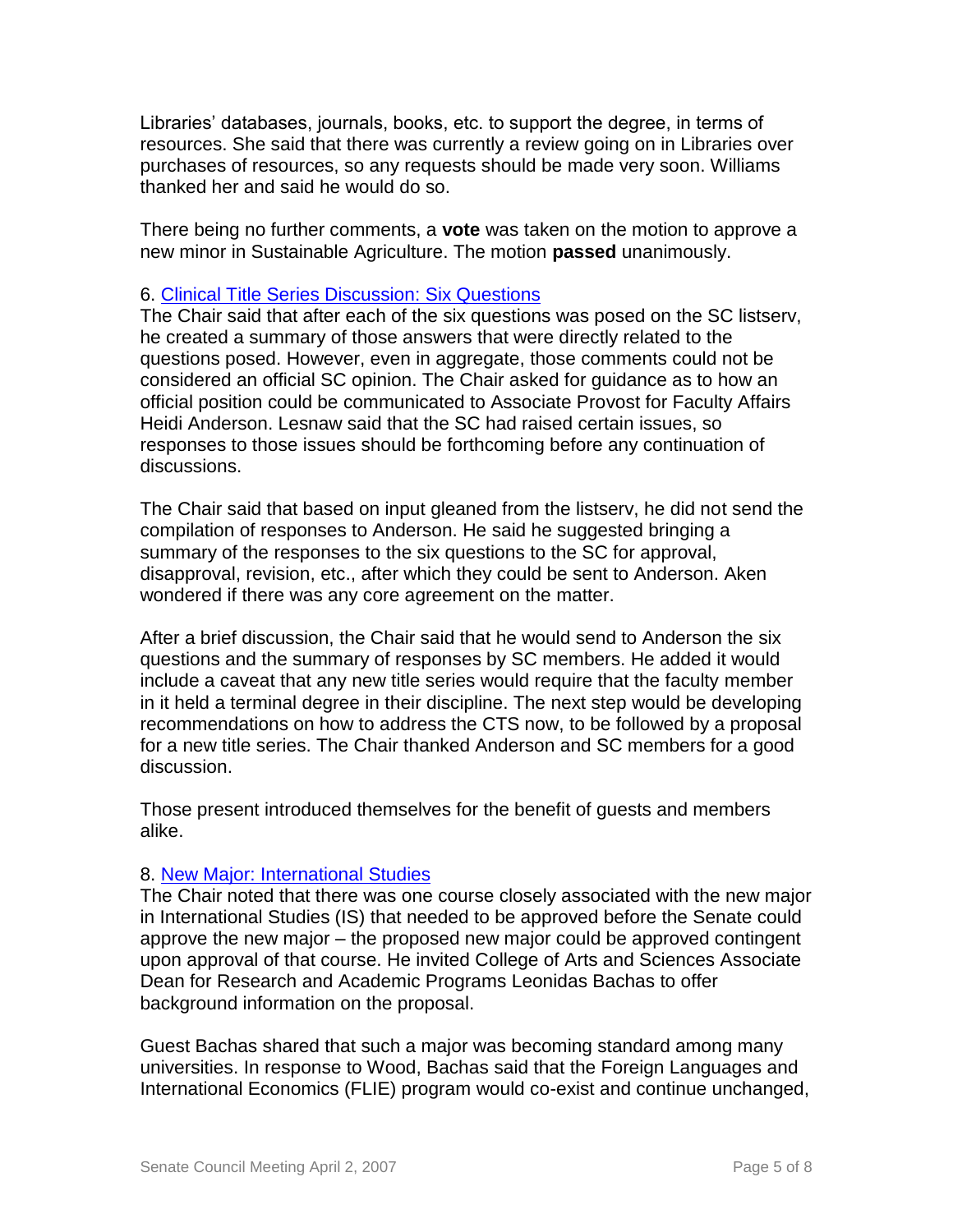Libraries' databases, journals, books, etc. to support the degree, in terms of resources. She said that there was currently a review going on in Libraries over purchases of resources, so any requests should be made very soon. Williams thanked her and said he would do so.

There being no further comments, a **vote** was taken on the motion to approve a new minor in Sustainable Agriculture. The motion **passed** unanimously.

### 6. [Clinical Title Series Discussion: Six Questions](http://www.uky.edu/USC/New/files/20070402/3%20Concerns%20&%206%20Questions.pdf)

The Chair said that after each of the six questions was posed on the SC listserv, he created a summary of those answers that were directly related to the questions posed. However, even in aggregate, those comments could not be considered an official SC opinion. The Chair asked for guidance as to how an official position could be communicated to Associate Provost for Faculty Affairs Heidi Anderson. Lesnaw said that the SC had raised certain issues, so responses to those issues should be forthcoming before any continuation of discussions.

The Chair said that based on input gleaned from the listserv, he did not send the compilation of responses to Anderson. He said he suggested bringing a summary of the responses to the six questions to the SC for approval, disapproval, revision, etc., after which they could be sent to Anderson. Aken wondered if there was any core agreement on the matter.

After a brief discussion, the Chair said that he would send to Anderson the six questions and the summary of responses by SC members. He added it would include a caveat that any new title series would require that the faculty member in it held a terminal degree in their discipline. The next step would be developing recommendations on how to address the CTS now, to be followed by a proposal for a new title series. The Chair thanked Anderson and SC members for a good discussion.

Those present introduced themselves for the benefit of guests and members alike.

#### 8. [New Major: International Studies](http://www.uky.edu/USC/New/files/20070402/Intrntl%20Studies%20Degree%20New%20MAJOR_Complete.pdf)

The Chair noted that there was one course closely associated with the new major in International Studies (IS) that needed to be approved before the Senate could approve the new major – the proposed new major could be approved contingent upon approval of that course. He invited College of Arts and Sciences Associate Dean for Research and Academic Programs Leonidas Bachas to offer background information on the proposal.

Guest Bachas shared that such a major was becoming standard among many universities. In response to Wood, Bachas said that the Foreign Languages and International Economics (FLIE) program would co-exist and continue unchanged,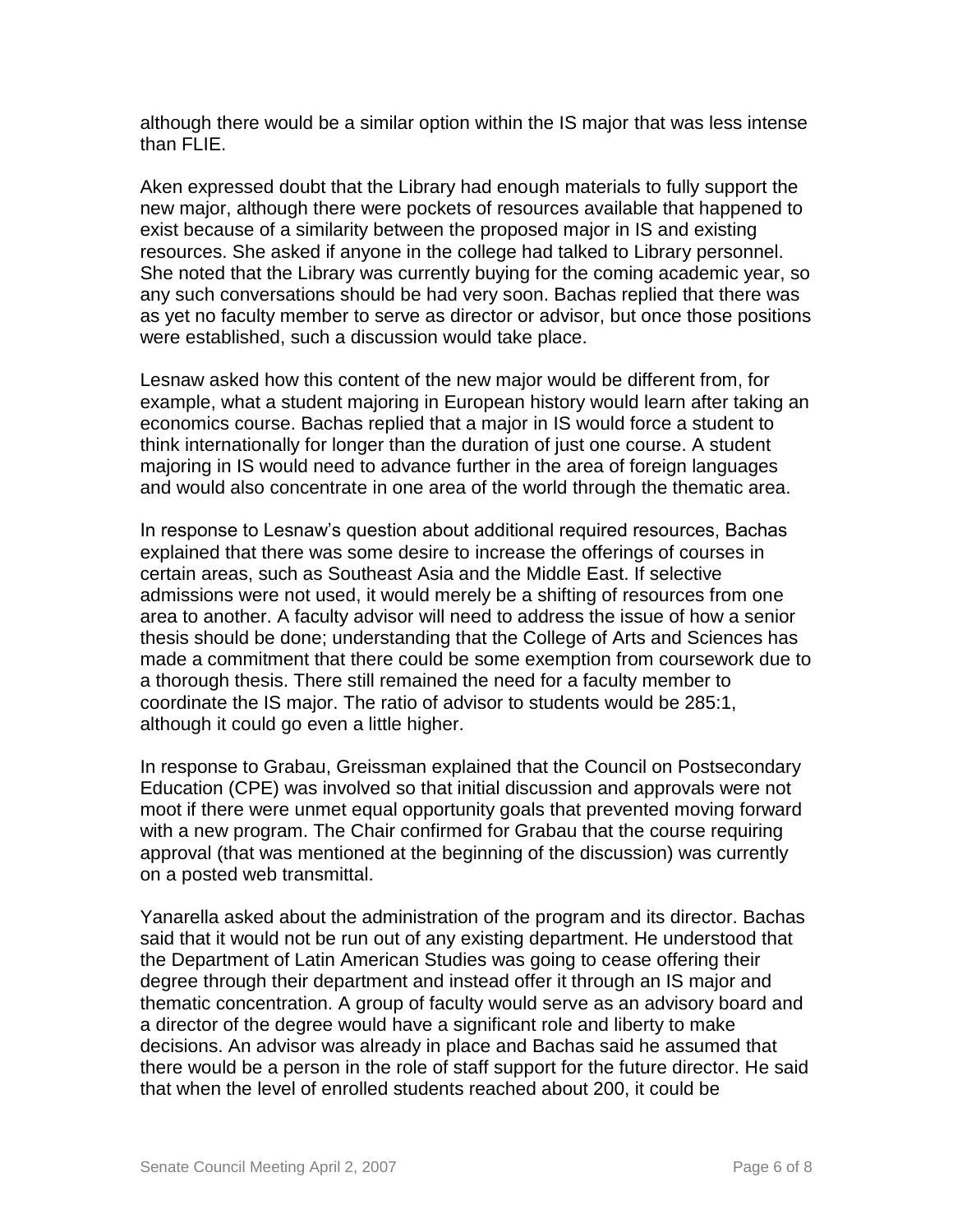although there would be a similar option within the IS major that was less intense than FLIE.

Aken expressed doubt that the Library had enough materials to fully support the new major, although there were pockets of resources available that happened to exist because of a similarity between the proposed major in IS and existing resources. She asked if anyone in the college had talked to Library personnel. She noted that the Library was currently buying for the coming academic year, so any such conversations should be had very soon. Bachas replied that there was as yet no faculty member to serve as director or advisor, but once those positions were established, such a discussion would take place.

Lesnaw asked how this content of the new major would be different from, for example, what a student majoring in European history would learn after taking an economics course. Bachas replied that a major in IS would force a student to think internationally for longer than the duration of just one course. A student majoring in IS would need to advance further in the area of foreign languages and would also concentrate in one area of the world through the thematic area.

In response to Lesnaw's question about additional required resources, Bachas explained that there was some desire to increase the offerings of courses in certain areas, such as Southeast Asia and the Middle East. If selective admissions were not used, it would merely be a shifting of resources from one area to another. A faculty advisor will need to address the issue of how a senior thesis should be done; understanding that the College of Arts and Sciences has made a commitment that there could be some exemption from coursework due to a thorough thesis. There still remained the need for a faculty member to coordinate the IS major. The ratio of advisor to students would be 285:1, although it could go even a little higher.

In response to Grabau, Greissman explained that the Council on Postsecondary Education (CPE) was involved so that initial discussion and approvals were not moot if there were unmet equal opportunity goals that prevented moving forward with a new program. The Chair confirmed for Grabau that the course requiring approval (that was mentioned at the beginning of the discussion) was currently on a posted web transmittal.

Yanarella asked about the administration of the program and its director. Bachas said that it would not be run out of any existing department. He understood that the Department of Latin American Studies was going to cease offering their degree through their department and instead offer it through an IS major and thematic concentration. A group of faculty would serve as an advisory board and a director of the degree would have a significant role and liberty to make decisions. An advisor was already in place and Bachas said he assumed that there would be a person in the role of staff support for the future director. He said that when the level of enrolled students reached about 200, it could be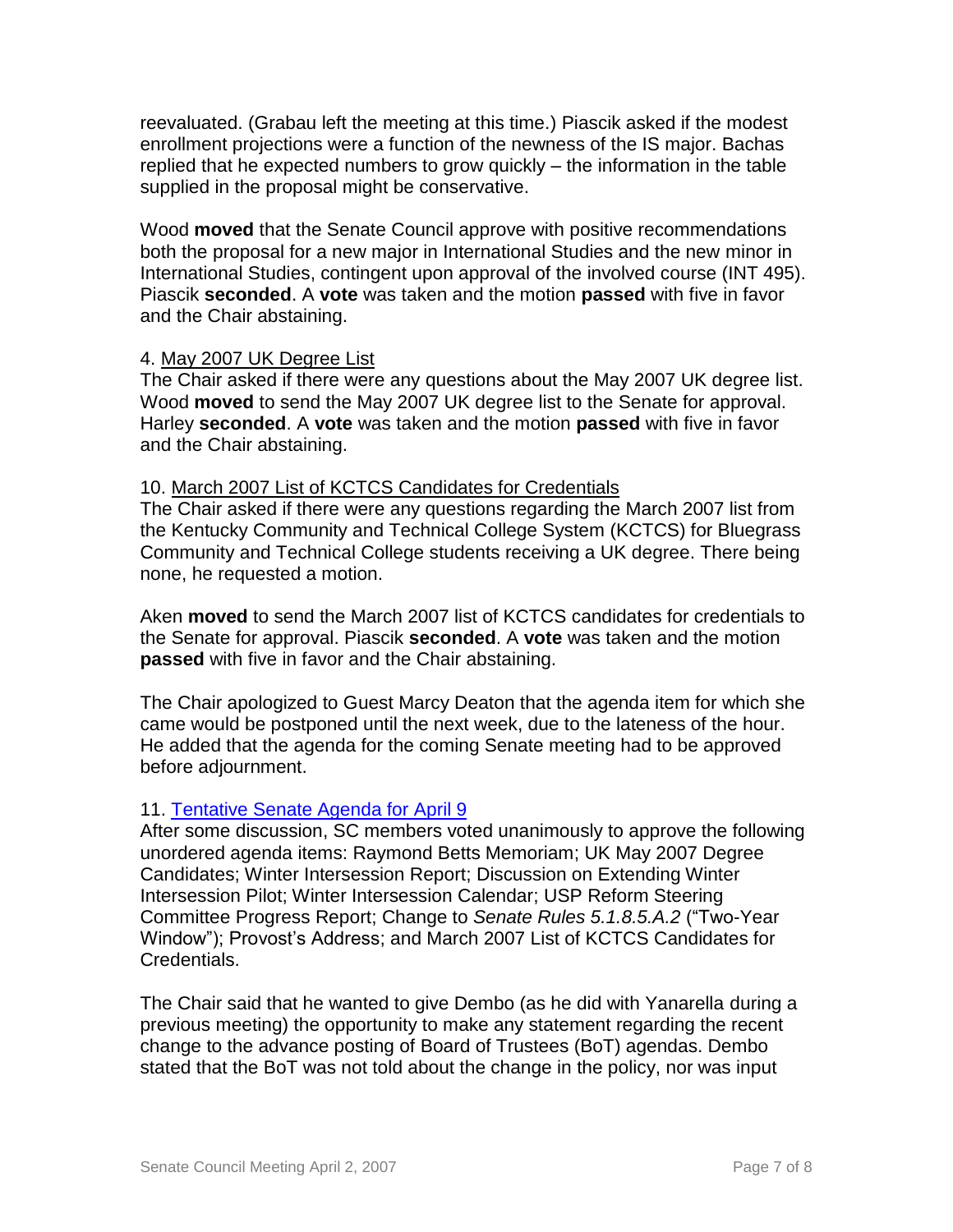reevaluated. (Grabau left the meeting at this time.) Piascik asked if the modest enrollment projections were a function of the newness of the IS major. Bachas replied that he expected numbers to grow quickly – the information in the table supplied in the proposal might be conservative.

Wood **moved** that the Senate Council approve with positive recommendations both the proposal for a new major in International Studies and the new minor in International Studies, contingent upon approval of the involved course (INT 495). Piascik **seconded**. A **vote** was taken and the motion **passed** with five in favor and the Chair abstaining.

## 4. May 2007 UK Degree List

The Chair asked if there were any questions about the May 2007 UK degree list. Wood **moved** to send the May 2007 UK degree list to the Senate for approval. Harley **seconded**. A **vote** was taken and the motion **passed** with five in favor and the Chair abstaining.

## 10. March 2007 List of KCTCS Candidates for Credentials

The Chair asked if there were any questions regarding the March 2007 list from the Kentucky Community and Technical College System (KCTCS) for Bluegrass Community and Technical College students receiving a UK degree. There being none, he requested a motion.

Aken **moved** to send the March 2007 list of KCTCS candidates for credentials to the Senate for approval. Piascik **seconded**. A **vote** was taken and the motion **passed** with five in favor and the Chair abstaining.

The Chair apologized to Guest Marcy Deaton that the agenda item for which she came would be postponed until the next week, due to the lateness of the hour. He added that the agenda for the coming Senate meeting had to be approved before adjournment.

# 11. [Tentative Senate Agenda for April 9](http://www.uky.edu/USC/New/files/20070402/Tentative%20Senate%20April%209%20Agenda.pdf)

After some discussion, SC members voted unanimously to approve the following unordered agenda items: Raymond Betts Memoriam; UK May 2007 Degree Candidates; Winter Intersession Report; Discussion on Extending Winter Intersession Pilot; Winter Intersession Calendar; USP Reform Steering Committee Progress Report; Change to *Senate Rules 5.1.8.5.A.2* ("Two-Year Window"); Provost's Address; and March 2007 List of KCTCS Candidates for Credentials.

The Chair said that he wanted to give Dembo (as he did with Yanarella during a previous meeting) the opportunity to make any statement regarding the recent change to the advance posting of Board of Trustees (BoT) agendas. Dembo stated that the BoT was not told about the change in the policy, nor was input